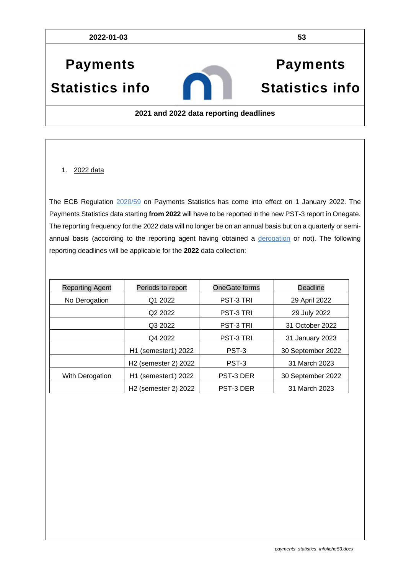**2022-01-03 53**

# **Payments Statistics info**

# **Payments Statistics info**

#### **2021 and 2022 data reporting deadlines**

#### 1. 2022 data

The ECB Regulation [2020/59](https://eur-lex.europa.eu/legal-content/EN/TXT/PDF/?uri=CELEX:32020R2011&qid=1618920370463&from=EN) on Payments Statistics has come into effect on 1 January 2022. The Payments Statistics data starting **from 2022** will have to be reported in the new PST-3 report in Onegate. The reporting frequency for the 2022 data will no longer be on an annual basis but on a quarterly or semiannual basis (according to the reporting agent having obtained a [derogation](https://www.nbb.be/doc/dq/paymentstatistics/list_of_institutions_granted_a_derogation_nl_2022.pdf) or not). The following reporting deadlines will be applicable for the **2022** data collection:

| <b>Reporting Agent</b> | Periods to report                            | OneGate forms    | Deadline          |
|------------------------|----------------------------------------------|------------------|-------------------|
| No Derogation          | Q1 2022                                      | <b>PST-3 TRI</b> | 29 April 2022     |
|                        | Q <sub>2</sub> 2022                          | <b>PST-3 TRI</b> | 29 July 2022      |
|                        | Q3 2022                                      | <b>PST-3 TRI</b> | 31 October 2022   |
|                        | Q4 2022                                      | <b>PST-3 TRI</b> | 31 January 2023   |
|                        | (semester1) 2022<br>H1                       | PST-3            | 30 September 2022 |
|                        | H <sub>2</sub> (semester 2) 2022             | PST-3            | 31 March 2023     |
| With Derogation        | H <sub>1</sub> (semester <sub>1</sub> ) 2022 | <b>PST-3 DER</b> | 30 September 2022 |
|                        | H <sub>2</sub> (semester 2) 2022             | <b>PST-3 DER</b> | 31 March 2023     |